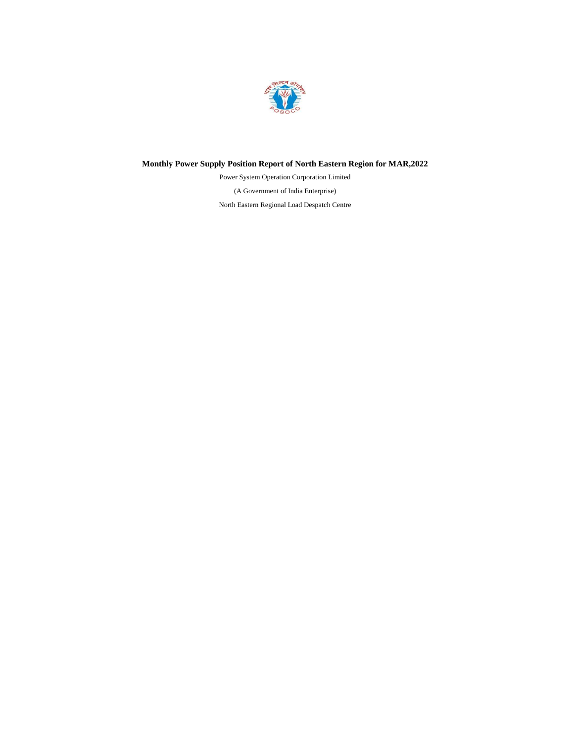

## **Monthly Power Supply Position Report of North Eastern Region for MAR,2022**

(A Government of India Enterprise) North Eastern Regional Load Despatch Centre Power System Operation Corporation Limited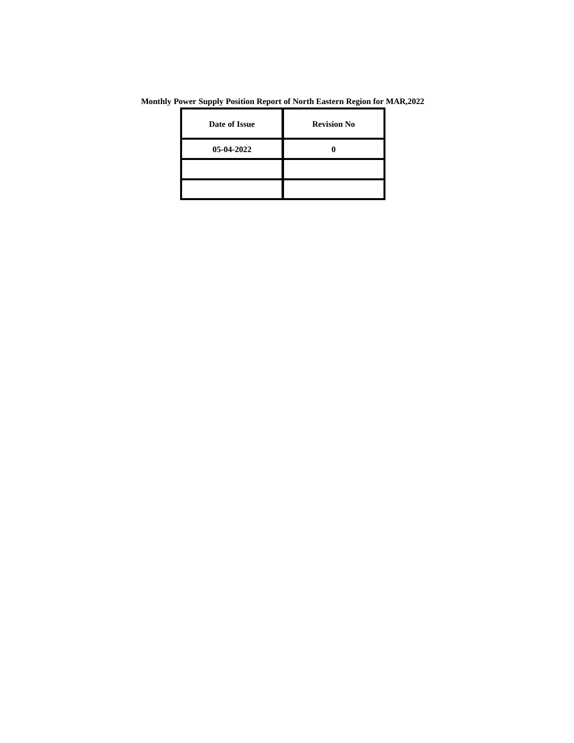**Monthly Power Supply Position Report of North Eastern Region for MAR,2022**

| Date of Issue | <b>Revision No</b> |
|---------------|--------------------|
| 05-04-2022    |                    |
|               |                    |
|               |                    |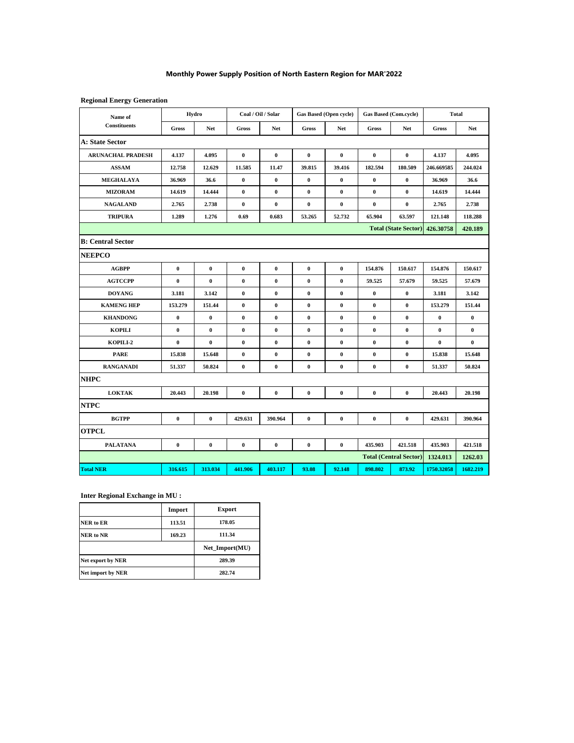#### **Monthly Power Supply Position of North Eastern Region for MAR'2022**

#### **Regional Energy Generation**

|                                |              | Hydro     |                  | Coal / Oil / Solar |                  | Gas Based (Open cycle) |              | Gas Based (Com.cycle)         | <b>Total</b> |            |
|--------------------------------|--------------|-----------|------------------|--------------------|------------------|------------------------|--------------|-------------------------------|--------------|------------|
| Name of<br><b>Constituents</b> | <b>Gross</b> | Net       | <b>Gross</b>     | <b>Net</b>         | <b>Gross</b>     | <b>Net</b>             | <b>Gross</b> | <b>Net</b>                    | Gross        | <b>Net</b> |
| A: State Sector                |              |           |                  |                    |                  |                        |              |                               |              |            |
| <b>ARUNACHAL PRADESH</b>       | 4.137        | 4.095     | $\pmb{0}$        | $\bf{0}$           | $\bf{0}$         | $\bf{0}$               | $\bf{0}$     | $\bf{0}$                      | 4.137        | 4.095      |
| <b>ASSAM</b>                   | 12.758       | 12.629    | 11.585           | 11.47              | 39.815           | 39.416                 | 182.594      | 180.509                       | 246.669585   | 244.024    |
| <b>MEGHALAYA</b>               | 36.969       | 36.6      | $\boldsymbol{0}$ | $\boldsymbol{0}$   | $\boldsymbol{0}$ | $\pmb{0}$              | $\bf{0}$     | $\pmb{0}$                     | 36.969       | 36.6       |
| <b>MIZORAM</b>                 | 14.619       | 14.444    | 0                | 0                  | $\bf{0}$         | $\bf{0}$               | $\bf{0}$     | $\bf{0}$                      | 14.619       | 14.444     |
| <b>NAGALAND</b>                | 2.765        | 2.738     | $\bf{0}$         | $\bf{0}$           | $\bf{0}$         | $\bf{0}$               | $\bf{0}$     | $\bf{0}$                      | 2.765        | 2.738      |
| <b>TRIPURA</b>                 | 1.289        | 1.276     | 0.69             | 0.683              | 53.265           | 52.732                 | 65.904       | 63.597                        | 121.148      | 118.288    |
|                                |              |           |                  |                    |                  |                        |              | <b>Total (State Sector)</b>   | 426.30758    | 420.189    |
| <b>B: Central Sector</b>       |              |           |                  |                    |                  |                        |              |                               |              |            |
| <b>NEEPCO</b>                  |              |           |                  |                    |                  |                        |              |                               |              |            |
| <b>AGBPP</b>                   | $\bf{0}$     | $\bf{0}$  | $\pmb{0}$        | $\pmb{0}$          | $\bf{0}$         | $\bf{0}$               | 154.876      | 150.617                       | 154.876      | 150.617    |
| <b>AGTCCPP</b>                 | $\bf{0}$     | $\pmb{0}$ | $\pmb{0}$        | $\pmb{0}$          | $\pmb{0}$        | $\pmb{0}$              | 59.525       | 57.679                        | 59.525       | 57.679     |
| <b>DOYANG</b>                  | 3.181        | 3.142     | 0                | $\bf{0}$           | $\bf{0}$         | $\bf{0}$               | $\bf{0}$     | $\bf{0}$                      | 3.181        | 3.142      |
| <b>KAMENG HEP</b>              | 153,279      | 151.44    | $\bf{0}$         | $\pmb{0}$          | $\pmb{0}$        | $\bf{0}$               | $\bf{0}$     | $\bf{0}$                      | 153,279      | 151.44     |
| <b>KHANDONG</b>                | $\pmb{0}$    | $\pmb{0}$ | $\pmb{0}$        | $\bf{0}$           | $\bf{0}$         | $\bf{0}$               | $\bf{0}$     | $\bf{0}$                      | $\bf{0}$     | 0          |
| <b>KOPILI</b>                  | $\bf{0}$     | $\bf{0}$  | $\bf{0}$         | $\pmb{0}$          | $\pmb{0}$        | $\pmb{0}$              | $\pmb{0}$    | $\bf{0}$                      | $\bf{0}$     | 0          |
| KOPILI-2                       | $\bf{0}$     | $\bf{0}$  | $\bf{0}$         | $\pmb{0}$          | $\pmb{0}$        | $\bf{0}$               | $\pmb{0}$    | $\bf{0}$                      | $\bf{0}$     | $\bf{0}$   |
| <b>PARE</b>                    | 15.838       | 15.648    | $\pmb{0}$        | $\pmb{0}$          | 0                | $\bf{0}$               | $\bf{0}$     | $\bf{0}$                      | 15.838       | 15.648     |
| <b>RANGANADI</b>               | 51.337       | 50.824    | $\bf{0}$         | $\bf{0}$           | $\pmb{0}$        | $\bf{0}$               | $\pmb{0}$    | $\bf{0}$                      | 51.337       | 50.824     |
| <b>NHPC</b>                    |              |           |                  |                    |                  |                        |              |                               |              |            |
| <b>LOKTAK</b>                  | 20.443       | 20.198    | $\bf{0}$         | $\bf{0}$           | $\pmb{0}$        | $\bf{0}$               | $\pmb{0}$    | $\bf{0}$                      | 20.443       | 20.198     |
| <b>NTPC</b>                    |              |           |                  |                    |                  |                        |              |                               |              |            |
| <b>BGTPP</b>                   | $\bf{0}$     | $\bf{0}$  | 429.631          | 390.964            | $\pmb{0}$        | $\bf{0}$               | $\pmb{0}$    | $\bf{0}$                      | 429.631      | 390.964    |
| <b>OTPCL</b>                   |              |           |                  |                    |                  |                        |              |                               |              |            |
| <b>PALATANA</b>                | $\bf{0}$     | $\bf{0}$  | $\pmb{0}$        | $\pmb{0}$          | $\bf{0}$         | $\bf{0}$               | 435.903      | 421.518                       | 435.903      | 421.518    |
|                                |              |           |                  |                    |                  |                        |              | <b>Total (Central Sector)</b> | 1324.013     | 1262.03    |
| <b>Total NER</b>               | 316.615      | 313.034   | 441.906          | 403.117            | 93.08            | 92.148                 | 898.802      | 873.92                        | 1750.32058   | 1682.219   |

#### **Inter Regional Exchange in MU :**

|                   | Import | <b>Export</b>  |
|-------------------|--------|----------------|
| NER to ER         | 113.51 | 178.05         |
| NER to NR         | 169.23 | 111.34         |
|                   |        | Net Import(MU) |
| Net export by NER |        | 289.39         |
|                   |        |                |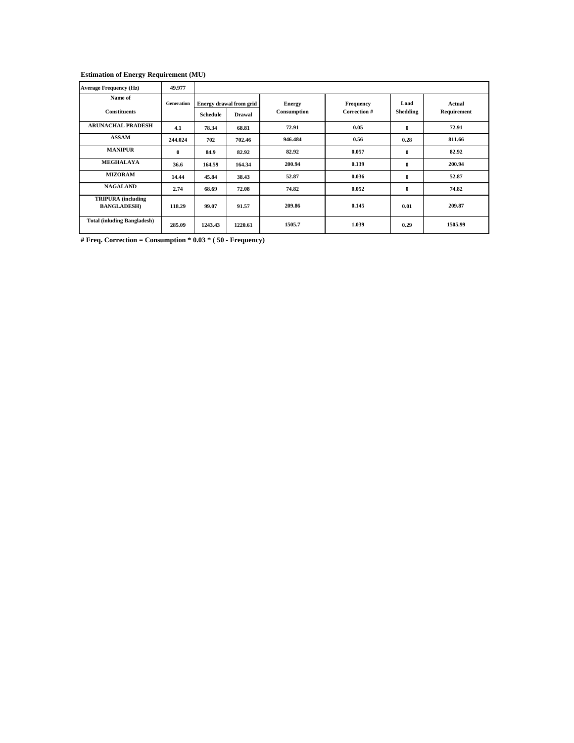#### **Estimation of Energy Requirement (MU)**

| <b>Average Frequency (Hz)</b>                   | 49.977            |          |                                          |                              |                           |                  |                       |
|-------------------------------------------------|-------------------|----------|------------------------------------------|------------------------------|---------------------------|------------------|-----------------------|
| Name of<br><b>Constituents</b>                  | <b>Generation</b> | Schedule | Energy drawal from grid<br><b>Drawal</b> | <b>Energy</b><br>Consumption | Frequency<br>Correction # | Load<br>Shedding | Actual<br>Requirement |
| <b>ARUNACHAL PRADESH</b>                        | 4.1               | 78.34    | 68.81                                    | 72.91                        | 0.05                      | $\bf{0}$         | 72.91                 |
| <b>ASSAM</b>                                    | 244.024           | 702      | 702.46                                   | 946.484                      | 0.56                      | 0.28             | 811.66                |
| <b>MANIPUR</b>                                  | $\bf{0}$          | 84.9     | 82.92                                    | 82.92                        | 0.057                     | $\bf{0}$         | 82.92                 |
| <b>MEGHALAYA</b>                                | 36.6              | 164.59   | 164.34                                   | 200.94                       | 0.139                     | $\bf{0}$         | 200.94                |
| <b>MIZORAM</b>                                  | 14.44             | 45.84    | 38.43                                    | 52.87                        | 0.036                     | $\bf{0}$         | 52.87                 |
| <b>NAGALAND</b>                                 | 2.74              | 68.69    | 72.08                                    | 74.82                        | 0.052                     | $\bf{0}$         | 74.82                 |
| <b>TRIPURA</b> (including<br><b>BANGLADESH)</b> | 118.29            | 99.07    | 91.57                                    | 209.86                       | 0.145                     | 0.01             | 209.87                |
| <b>Total (inluding Bangladesh)</b>              | 285.09            | 1243.43  | 1220.61                                  | 1505.7                       | 1.039                     | 0.29             | 1505.99               |

**# Freq. Correction = Consumption \* 0.03 \* ( 50 - Frequency)**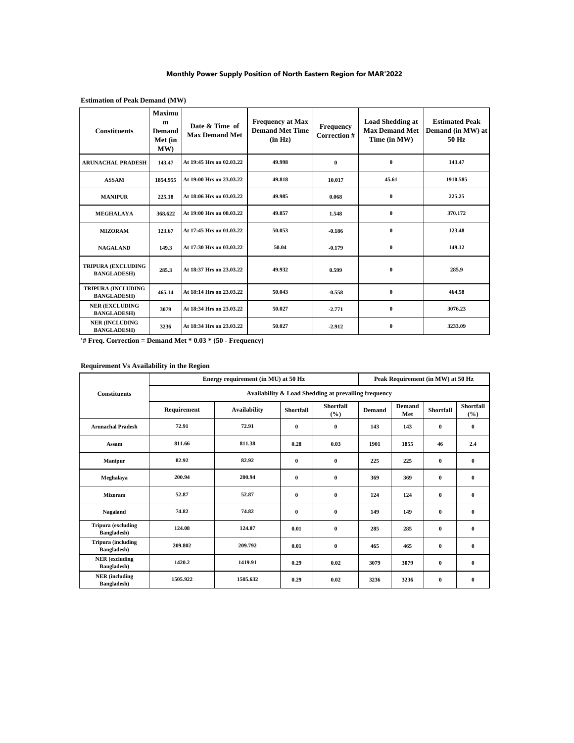#### **Monthly Power Supply Position of North Eastern Region for MAR'2022**

| <b>Constituents</b>                             | Maximu<br>m<br><b>Demand</b><br>Met (in<br>MW) | Date & Time of<br><b>Max Demand Met</b> | <b>Frequency at Max</b><br><b>Demand Met Time</b><br>(in Hz) | <b>Frequency</b><br>Correction # | <b>Load Shedding at</b><br><b>Max Demand Met</b><br>Time (in MW) | <b>Estimated Peak</b><br>Demand (in MW) at<br>50 Hz |
|-------------------------------------------------|------------------------------------------------|-----------------------------------------|--------------------------------------------------------------|----------------------------------|------------------------------------------------------------------|-----------------------------------------------------|
| <b>ARUNACHAL PRADESH</b>                        | 143.47                                         | At 19:45 Hrs on 02.03.22                | 49.998                                                       | $\bf{0}$                         | $\bf{0}$                                                         | 143.47                                              |
| <b>ASSAM</b>                                    | 1854.955                                       | At 19:00 Hrs on 23.03.22                | 49.818                                                       | 10.017                           | 45.61                                                            | 1910.585                                            |
| <b>MANIPUR</b>                                  | 225.18                                         | At 18:06 Hrs on 03.03.22                | 49.985                                                       | 0.068                            | $\bf{0}$                                                         | 225.25                                              |
| <b>MEGHALAYA</b>                                | 368.622                                        | At 19:00 Hrs on 08.03.22                | 49.857                                                       | 1.548                            | $\bf{0}$                                                         | 370.172                                             |
| <b>MIZORAM</b>                                  | 123.67                                         | At 17:45 Hrs on 01.03.22                | 50.053                                                       | $-0.186$                         | $\bf{0}$                                                         | 123.48                                              |
| <b>NAGALAND</b>                                 | 149.3                                          | At 17:30 Hrs on 03.03.22                | 50.04                                                        | $-0.179$                         | $\bf{0}$                                                         | 149.12                                              |
| <b>TRIPURA (EXCLUDING</b><br><b>BANGLADESH)</b> | 285.3                                          | At 18:37 Hrs on 23.03.22                | 49.932                                                       | 0.599                            | $\bf{0}$                                                         | 285.9                                               |
| <b>TRIPURA (INCLUDING</b><br><b>BANGLADESH)</b> | 465.14                                         | At 18:14 Hrs on 23.03.22                | 50.043                                                       | $-0.558$                         | $\bf{0}$                                                         | 464.58                                              |
| <b>NER (EXCLUDING</b><br><b>BANGLADESH)</b>     | 3079                                           | At 18:34 Hrs on 23.03.22                | 50.027                                                       | $-2.771$                         | $\bf{0}$                                                         | 3076.23                                             |
| <b>NER (INCLUDING</b><br><b>BANGLADESH)</b>     | 3236                                           | At 18:34 Hrs on 23.03.22                | 50.027                                                       | $-2.912$                         | $\mathbf{0}$                                                     | 3233.09                                             |

**Estimation of Peak Demand (MW)**

**'# Freq. Correction = Demand Met \* 0.03 \* (50 - Frequency)**

#### **Requirement Vs Availability in the Region**

|                                                  |                                                      | Energy requirement (in MU) at 50 Hz | Peak Requirement (in MW) at 50 Hz |                  |               |               |                  |                  |  |  |  |  |
|--------------------------------------------------|------------------------------------------------------|-------------------------------------|-----------------------------------|------------------|---------------|---------------|------------------|------------------|--|--|--|--|
| <b>Constituents</b>                              | Availability & Load Shedding at prevailing frequency |                                     |                                   |                  |               |               |                  |                  |  |  |  |  |
|                                                  | Requirement                                          | <b>Availability</b>                 | <b>Shortfall</b>                  | Shortfall<br>(%) | <b>Demand</b> | Demand<br>Met | <b>Shortfall</b> | Shortfall<br>(%) |  |  |  |  |
| <b>Arunachal Pradesh</b>                         | 72.91                                                | 72.91                               | $\bf{0}$                          | $\bf{0}$         | 143           | 143           | $\bf{0}$         | $\bf{0}$         |  |  |  |  |
| Assam                                            | 811.66                                               | 811.38                              | 0.28                              | 0.03             | 1901          | 1855          | 46               | 2.4              |  |  |  |  |
| <b>Manipur</b>                                   | 82.92                                                | 82.92                               | $\bf{0}$                          | $\bf{0}$         | 225           | 225           | $\bf{0}$         | $\bf{0}$         |  |  |  |  |
| Meghalaya                                        | 200.94                                               | 200.94                              | $\bf{0}$                          | $\bf{0}$         | 369           | 369           | $\bf{0}$         | $\bf{0}$         |  |  |  |  |
| <b>Mizoram</b>                                   | 52.87                                                | 52.87                               | $\bf{0}$                          | $\bf{0}$         | 124           | 124           | $\bf{0}$         | $\bf{0}$         |  |  |  |  |
| Nagaland                                         | 74.82                                                | 74.82                               | $\mathbf{0}$                      | $\bf{0}$         | 149           | 149           | $\bf{0}$         | $\bf{0}$         |  |  |  |  |
| <b>Tripura</b> (excluding<br><b>Bangladesh</b> ) | 124.08                                               | 124.07                              | 0.01                              | $\bf{0}$         | 285           | 285           | $\bf{0}$         | $\bf{0}$         |  |  |  |  |
| <b>Tripura</b> (including<br><b>Bangladesh</b> ) | 209.802                                              | 209.792                             | 0.01                              | $\bf{0}$         | 465           | 465           | $\bf{0}$         | $\bf{0}$         |  |  |  |  |
| <b>NER</b> (excluding<br><b>Bangladesh</b> )     | 1420.2                                               | 1419.91                             | 0.29                              | 0.02             | 3079          | 3079          | $\bf{0}$         | $\bf{0}$         |  |  |  |  |
| <b>NER</b> (including<br>Bangladesh)             | 1505.922                                             | 1505.632                            | 0.29                              | 0.02             | 3236          | 3236          | $\bf{0}$         | $\bf{0}$         |  |  |  |  |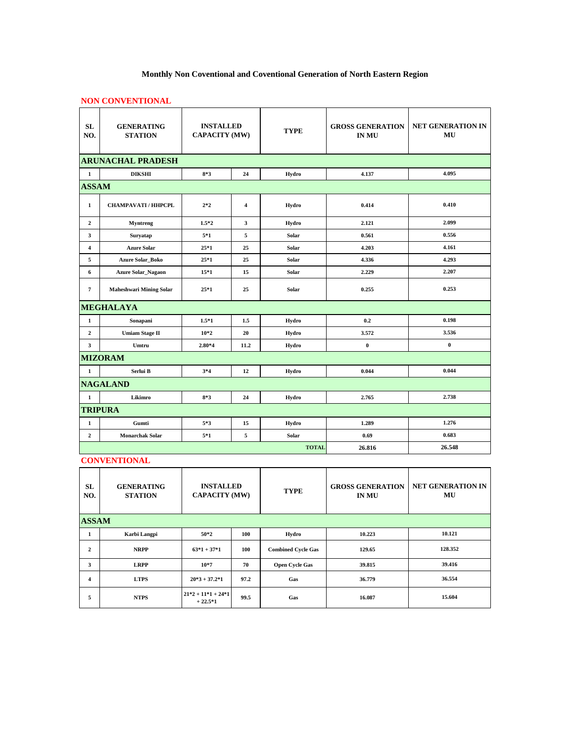# **Monthly Non Coventional and Coventional Generation of North Eastern Region**

## **NON CONVENTIONAL**

| <b>SL</b><br>NO.        | <b>GENERATING</b><br><b>STATION</b> | <b>INSTALLED</b><br><b>CAPACITY (MW)</b> |      | <b>TYPE</b>  | <b>GROSS GENERATION</b><br><b>IN MU</b> | <b>NET GENERATION IN</b><br>MU |  |  |  |  |  |
|-------------------------|-------------------------------------|------------------------------------------|------|--------------|-----------------------------------------|--------------------------------|--|--|--|--|--|
|                         | <b>ARUNACHAL PRADESH</b>            |                                          |      |              |                                         |                                |  |  |  |  |  |
| $\mathbf{1}$            | <b>DIKSHI</b>                       | $8*3$                                    | 24   | Hydro        | 4.137                                   | 4.095                          |  |  |  |  |  |
| <b>ASSAM</b>            |                                     |                                          |      |              |                                         |                                |  |  |  |  |  |
| $\mathbf{1}$            | <b>CHAMPAVATI / HHPCPL</b>          | $2*2$                                    | 4    | Hydro        | 0.414                                   | 0.410                          |  |  |  |  |  |
| $\overline{2}$          | <b>Myntreng</b>                     | $1.5*2$                                  | 3    | Hydro        | 2.121                                   | 2.099                          |  |  |  |  |  |
| 3                       | Suryatap                            | $5*1$                                    | 5    | Solar        | 0.561                                   | 0.556                          |  |  |  |  |  |
| $\overline{4}$          | <b>Azure Solar</b>                  | $25*1$                                   | 25   | Solar        | 4.203                                   | 4.161                          |  |  |  |  |  |
| 5                       | <b>Azure Solar_Boko</b>             | $25*1$                                   | 25   | Solar        | 4.336                                   | 4.293                          |  |  |  |  |  |
| $6\phantom{1}$          | <b>Azure Solar_Nagaon</b>           | $15*1$                                   | 15   | Solar        | 2,229                                   | 2.207                          |  |  |  |  |  |
| $\overline{7}$          | <b>Maheshwari Mining Solar</b>      | $25*1$                                   | 25   | Solar        | 0.255                                   | 0.253                          |  |  |  |  |  |
|                         | <b>MEGHALAYA</b>                    |                                          |      |              |                                         |                                |  |  |  |  |  |
| $\mathbf{1}$            | Sonapani                            | $1.5*1$                                  | 1.5  | Hydro        | 0.2                                     | 0.198                          |  |  |  |  |  |
| $\mathbf{2}$            | <b>Umiam Stage II</b>               | $10*2$                                   | 20   | Hydro        | 3.572                                   | 3.536                          |  |  |  |  |  |
| $\overline{\mathbf{3}}$ | Umtru                               | 2.80*4                                   | 11.2 | Hydro        | $\bf{0}$                                | $\pmb{0}$                      |  |  |  |  |  |
|                         | <b>MIZORAM</b>                      |                                          |      |              |                                         |                                |  |  |  |  |  |
| $\mathbf{1}$            | Serlui B                            | $3*4$                                    | 12   | Hydro        | 0.044                                   | 0.044                          |  |  |  |  |  |
|                         | <b>NAGALAND</b>                     |                                          |      |              |                                         |                                |  |  |  |  |  |
| $\mathbf{1}$            | Likimro                             | $8*3$                                    | 24   | Hydro        | 2.765                                   | 2.738                          |  |  |  |  |  |
|                         | <b>TRIPURA</b>                      |                                          |      |              |                                         |                                |  |  |  |  |  |
| $\mathbf{1}$            | Gumti                               | $5*3$                                    | 15   | Hydro        | 1.289                                   | 1.276                          |  |  |  |  |  |
| $\mathbf 2$             | <b>Monarchak Solar</b>              | $5*1$                                    | 5    | Solar        | 0.69                                    | 0.683                          |  |  |  |  |  |
|                         |                                     |                                          |      | <b>TOTAL</b> | 26.816                                  | 26.548                         |  |  |  |  |  |

**CONVENTIONAL**

| <b>SL</b><br>NO. | <b>GENERATING</b><br><b>STATION</b> | <b>INSTALLED</b><br><b>CAPACITY (MW)</b> |      | <b>TYPE</b>               | <b>GROSS GENERATION</b><br><b>IN MU</b> | <b>NET GENERATION IN</b><br>MU |
|------------------|-------------------------------------|------------------------------------------|------|---------------------------|-----------------------------------------|--------------------------------|
| <b>ASSAM</b>     |                                     |                                          |      |                           |                                         |                                |
| 1                | Karbi Langpi                        | $50*2$                                   | 100  | Hydro                     | 10.223                                  | 10.121                         |
| $\mathbf{2}$     | <b>NRPP</b>                         | $63*1+37*1$                              | 100  | <b>Combined Cycle Gas</b> | 129.65                                  | 128.352                        |
| 3                | <b>LRPP</b>                         | $10*7$                                   | 70   | <b>Open Cycle Gas</b>     | 39.815                                  | 39.416                         |
| 4                | <b>LTPS</b>                         | $20*3 + 37.2*1$                          | 97.2 | Gas                       | 36.779                                  | 36.554                         |
| 5                | <b>NTPS</b>                         | $21*2 + 11*1 + 24*1$<br>$+22.5*1$        | 99.5 | Gas                       | 16.087                                  | 15.604                         |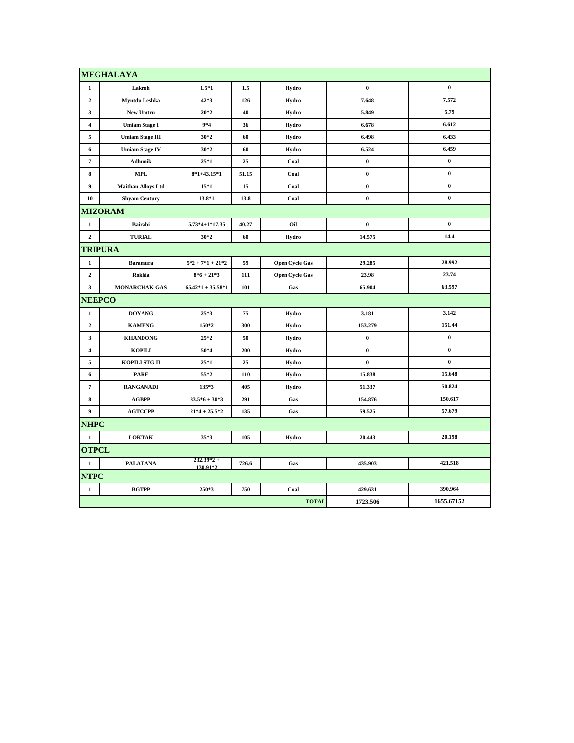|                         | <b>MEGHALAYA</b>          |                          |       |                       |           |            |
|-------------------------|---------------------------|--------------------------|-------|-----------------------|-----------|------------|
| 1                       | Lakroh                    | $1.5*1$                  | 1.5   | Hydro                 | $\pmb{0}$ | $\pmb{0}$  |
| 2                       | Myntdu Leshka             | 42*3                     | 126   | Hydro                 | 7.648     | 7.572      |
| 3                       | New Umtru                 | $20*2$                   | 40    | Hydro                 | 5.849     | 5.79       |
| $\overline{4}$          | <b>Umiam Stage I</b>      | $9*4$                    | 36    | Hydro                 | 6.678     | 6.612      |
| 5                       | <b>Umiam Stage III</b>    | $30*2$                   | 60    | Hydro                 | 6.498     | 6.433      |
| 6                       | <b>Umiam Stage IV</b>     | $30*2$                   | 60    | Hydro                 | 6.524     | 6.459      |
| 7                       | Adhunik                   | $25*1$                   | 25    | Coal                  | $\bf{0}$  | $\bf{0}$   |
| 8                       | <b>MPL</b>                | $8*1+43.15*1$            | 51.15 | Coal                  | $\pmb{0}$ | $\bf{0}$   |
| 9                       | <b>Maithan Alloys Ltd</b> | $15*1$                   | 15    | Coal                  | $\pmb{0}$ | $\pmb{0}$  |
| 10                      | <b>Shyam Century</b>      | 13.8*1                   | 13.8  | Coal                  | $\pmb{0}$ | $\pmb{0}$  |
|                         | <b>MIZORAM</b>            |                          |       |                       |           |            |
| $\mathbf{1}$            | <b>Bairabi</b>            | $5.73*4+1*17.35$         | 40.27 | Oil                   | $\pmb{0}$ | $\pmb{0}$  |
| $\mathbf{2}$            | <b>TURIAL</b>             | $30*2$                   | 60    | Hydro                 | 14.575    | 14.4       |
|                         | TRIPURA                   |                          |       |                       |           |            |
| $\mathbf{1}$            | <b>Baramura</b>           | $5*2 + 7*1 + 21*2$       | 59    | <b>Open Cycle Gas</b> | 29.285    | 28.992     |
| $\mathbf{2}$            | Rokhia                    | $8*6+21*3$               | 111   | <b>Open Cycle Gas</b> | 23.98     | 23.74      |
| 3                       | <b>MONARCHAK GAS</b>      | $65.42*1 + 35.58*1$      | 101   | Gas                   | 65.904    | 63.597     |
| <b>NEEPCO</b>           |                           |                          |       |                       |           |            |
| $\mathbf{1}$            | <b>DOYANG</b>             | $25*3$                   | 75    | Hydro                 | 3.181     | 3.142      |
| $\boldsymbol{2}$        | <b>KAMENG</b>             | 150*2                    | 300   | Hydro                 | 153.279   | 151.44     |
| 3                       | <b>KHANDONG</b>           | $25*2$                   | 50    | Hydro                 | $\bf{0}$  | $\bf{0}$   |
| $\overline{\mathbf{4}}$ | <b>KOPILI</b>             | 50*4                     | 200   | Hydro                 | $\pmb{0}$ | $\pmb{0}$  |
| 5                       | KOPILI STG II             | $25*1$                   | 25    | Hydro                 | $\bf{0}$  | $\bf{0}$   |
| 6                       | <b>PARE</b>               | 55*2                     | 110   | Hydro                 | 15.838    | 15.648     |
| $\overline{7}$          | <b>RANGANADI</b>          | 135*3                    | 405   | Hydro                 | 51.337    | 50.824     |
| 8                       | <b>AGBPP</b>              | $33.5*6 + 30*3$          | 291   | Gas                   | 154.876   | 150.617    |
| 9                       | <b>AGTCCPP</b>            | $21*4 + 25.5*2$          | 135   | Gas                   | 59.525    | 57.679     |
| <b>NHPC</b>             |                           |                          |       |                       |           |            |
| $\mathbf{1}$            | <b>LOKTAK</b>             | $35*3$                   | 105   | Hydro                 | 20.443    | 20.198     |
| <b>OTPCL</b>            |                           |                          |       |                       |           |            |
| $\mathbf{1}$            | <b>PALATANA</b>           | $232.39*2 +$<br>130.91*2 | 726.6 | Gas                   | 435.903   | 421.518    |
| <b>NTPC</b>             |                           |                          |       |                       |           |            |
| $\mathbf{1}$            | <b>BGTPP</b>              | 250*3                    | 750   | Coal                  | 429.631   | 390.964    |
|                         |                           |                          |       | <b>TOTAL</b>          | 1723.506  | 1655.67152 |